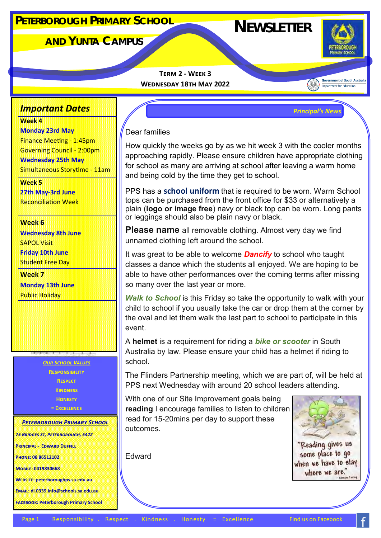# **NEWSLETTER <sup>P</sup>ETERBOROUGH <sup>P</sup>RIMARY <sup>S</sup>CHOOL**

# **AND YUNTA CAMPUS**



**Government of South Australia** Department for Education

**Term 2 - Week 3 Wednesday 18th May 2022** 

*Principal's News*

#### *Important Dates*

**Week 4**

**Monday 23rd May** Finance Meeting - 1:45pm Governing Council - 2:00pm **Wednesday 25th May** Simultaneous Storytime - 11am

**Week 5 27th May-3rd June** Reconciliation Week

**Week 6 Wednesday 8th June** SAPOL Visit **Friday 10th June**  Student Free Day

**Week 7 Monday 13th June**  Public Holiday

> *Our School Values* **Responsibility Respect Kindness Honesty = Excellence**

*Peterborough Primary School*

*75 Bridges St, Peterborough, 5422*

**Principal - Edward Duffill**

**Phone: 08 86512102**

**Mobile: 0419830668**

**Website: peterboroughps.sa.edu.au**

**Email: dl.0339.info@schools.sa.edu.au**

**Facebook: Peterborough Primary School**

### Dear families

How quickly the weeks go by as we hit week 3 with the cooler months approaching rapidly. Please ensure children have appropriate clothing for school as many are arriving at school after leaving a warm home and being cold by the time they get to school.

PPS has a **school uniform** that is required to be worn. Warm School tops can be purchased from the front office for \$33 or alternatively a plain (**logo or image free**) navy or black top can be worn. Long pants or leggings should also be plain navy or black.

**Please name** all removable clothing. Almost very day we find unnamed clothing left around the school.

It was great to be able to welcome *Dancify* to school who taught classes a dance which the students all enjoyed. We are hoping to be able to have other performances over the coming terms after missing so many over the last year or more.

*Walk to School* is this Friday so take the opportunity to walk with your child to school if you usually take the car or drop them at the corner by the oval and let them walk the last part to school to participate in this event.

A **helmet** is a requirement for riding a *bike or scooter* in South Australia by law. Please ensure your child has a helmet if riding to school.

The Flinders Partnership meeting, which we are part of, will be held at PPS next Wednesday with around 20 school leaders attending.

With one of our Site Improvement goals being **reading** I encourage families to listen to children read for 15-20mins per day to support these outcomes.

Edward



"Reading gives us some place to go when we have to stay where we are."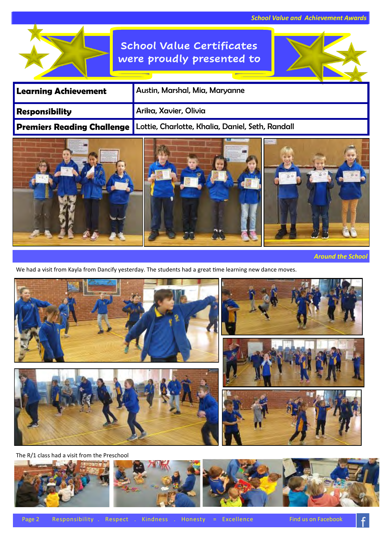# **School Value Certificates were proudly presented to**

| <b>Learning Achievement</b>       | Austin, Marshal, Mia, Maryanne                   |
|-----------------------------------|--------------------------------------------------|
| <b>Responsibility</b>             | Arika, Xavier, Olivia                            |
| <b>Premiers Reading Challenge</b> | Lottie, Charlotte, Khalia, Daniel, Seth, Randall |
|                                   |                                                  |



99

We had a visit from Kayla from Dancify yesterday. The students had a great time learning new dance moves.



The R/1 class had a visit from the Preschool

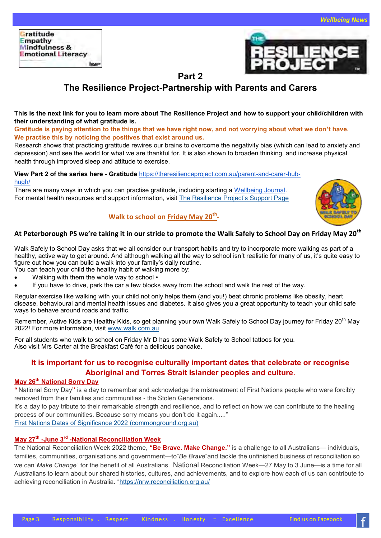

#### **Part 2**

## **The Resilience Project-Partnership with Parents and Carers**

#### **This is the next link for you to learn more about The Resilience Project and how to support your child/children with their understanding of what gratitude is.**

**Gratitude is paying attention to the things that we have right now, and not worrying about what we don't have. We practise this by noticing the positives that exist around us.**

Research shows that practicing gratitude rewires our brains to overcome the negativity bias (which can lead to anxiety and depression) and see the world for what we are thankful for. It is also shown to broaden thinking, and increase physical health through improved sleep and attitude to exercise.

#### **View Part 2 of the series here - Gratitude** [https://theresilienceproject.com.au/parent](https://nam04.safelinks.protection.outlook.com/?url=https%3A%2F%2Ftheresilienceproject.com.au%2Fparent-and-carer-hub-hugh%2F&data=05%7C01%7Cjulie.carter764%40schools.sa.edu.au%7C7e8352625ebf438326ad08da32216897%7C73bbf4e906884946aea9bd0bb40ecf07%7C0%7C0%7C637)-and-carer-hub[hugh/](https://nam04.safelinks.protection.outlook.com/?url=https%3A%2F%2Ftheresilienceproject.com.au%2Fparent-and-carer-hub-hugh%2F&data=05%7C01%7Cjulie.carter764%40schools.sa.edu.au%7C7e8352625ebf438326ad08da32216897%7C73bbf4e906884946aea9bd0bb40ecf07%7C0%7C0%7C637)

There are many ways in which you can practise gratitude, including starting a [Wellbeing Journal.](https://nam04.safelinks.protection.outlook.com/?url=https%3A%2F%2Ftheresilienceproject.com.au%2Fproduct%2F6-month-my-resilience-project-journal%2F&data=05%7C01%7Cjulie.carter764%40schools.sa.edu.au%7C7e8352625ebf438326ad08da32216897%7C73bbf4e906884946aea9bd0b)  For mental health resources and support information, visit [The Resilience Project](https://nam04.safelinks.protection.outlook.com/?url=https%3A%2F%2Ftheresilienceproject.com.au%2Fsupport%2F&data=05%7C01%7Cjulie.carter764%40schools.sa.edu.au%7C7e8352625ebf438326ad08da32216897%7C73bbf4e906884946aea9bd0bb40ecf07%7C0%7C0%7C637877416757306240%7C)'s Support Page



#### **Walk to school on Friday May 20th -**

#### **At Peterborough PS we're taking it in our stride to promote the Walk Safely to School Day on Friday May 20th**

Walk Safely to School Day asks that we all consider our transport habits and try to incorporate more walking as part of a healthy, active way to get around. And although walking all the way to school isn't realistic for many of us, it's quite easy to figure out how you can build a walk into your family's daily routine.

- You can teach your child the healthy habit of walking more by:
- Walking with them the whole way to school •
- If you have to drive, park the car a few blocks away from the school and walk the rest of the way.

Regular exercise like walking with your child not only helps them (and you!) beat chronic problems like obesity, heart disease, behavioural and mental health issues and diabetes. It also gives you a great opportunity to teach your child safe ways to behave around roads and traffic.

Remember, Active Kids are Healthy Kids, so get planning your own Walk Safely to School Day journey for Friday 20<sup>th</sup> May 2022! For more information, visit [www.walk.com.au](http://www.walk.com.au)

For all students who walk to school on Friday Mr D has some Walk Safely to School tattoos for you. Also visit Mrs Carter at the Breakfast Café for a delicious pancake.

#### **It is important for us to recognise culturally important dates that celebrate or recognise Aboriginal and Torres Strait Islander peoples and culture**.

#### **May 26th National Sorry Day**

**"** National Sorry Day**"** is a day to remember and acknowledge the mistreatment of First Nations people who were forcibly removed from their families and communities - the Stolen Generations.

It's a day to pay tribute to their remarkable strength and resilience, and to reflect on how we can contribute to the healing process of our communities. Because sorry means you don't do it again....."

[First Nations Dates of Significance 2022 \(commonground.org.au\)](https://www.commonground.org.au/learn/first-nations-dates-significance-2022)

#### **May 27th -June 3rd -National Reconciliation Week**

The National Reconciliation Week 2022 theme, **"Be Brave. Make Change."** is a challenge to all Australians— individuals, families, communities, organisations and government—to"*Be Brave*"and tackle the unfinished business of reconciliation so we can"*Make Change*" for the benefit of all Australians. National Reconciliation Week—27 May to 3 June—is a time for all Australians to learn about our shared histories, cultures, and achievements, and to explore how each of us can contribute to achieving reconciliation in Australia. "<https://nrw.reconciliation.org.au/>